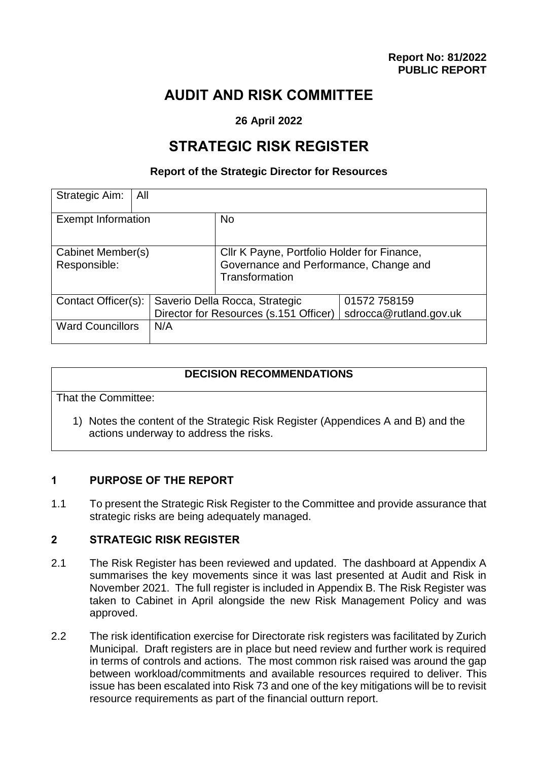# **AUDIT AND RISK COMMITTEE**

## **26 April 2022**

# **STRATEGIC RISK REGISTER**

#### **Report of the Strategic Director for Resources**

| Strategic Aim:<br>All             |                                                                          |                                                                                                         |                                        |
|-----------------------------------|--------------------------------------------------------------------------|---------------------------------------------------------------------------------------------------------|----------------------------------------|
| <b>Exempt Information</b>         |                                                                          | <b>No</b>                                                                                               |                                        |
| Cabinet Member(s)<br>Responsible: |                                                                          | Cllr K Payne, Portfolio Holder for Finance,<br>Governance and Performance, Change and<br>Transformation |                                        |
| Contact Officer(s):               | Saverio Della Rocca, Strategic<br>Director for Resources (s.151 Officer) |                                                                                                         | 01572 758159<br>sdrocca@rutland.gov.uk |
| <b>Ward Councillors</b>           | N/A                                                                      |                                                                                                         |                                        |

## **DECISION RECOMMENDATIONS**

That the Committee:

1) Notes the content of the Strategic Risk Register (Appendices A and B) and the actions underway to address the risks.

#### **1 PURPOSE OF THE REPORT**

1.1 To present the Strategic Risk Register to the Committee and provide assurance that strategic risks are being adequately managed.

#### **2 STRATEGIC RISK REGISTER**

- 2.1 The Risk Register has been reviewed and updated. The dashboard at Appendix A summarises the key movements since it was last presented at Audit and Risk in November 2021. The full register is included in Appendix B. The Risk Register was taken to Cabinet in April alongside the new Risk Management Policy and was approved.
- 2.2 The risk identification exercise for Directorate risk registers was facilitated by Zurich Municipal. Draft registers are in place but need review and further work is required in terms of controls and actions. The most common risk raised was around the gap between workload/commitments and available resources required to deliver. This issue has been escalated into Risk 73 and one of the key mitigations will be to revisit resource requirements as part of the financial outturn report.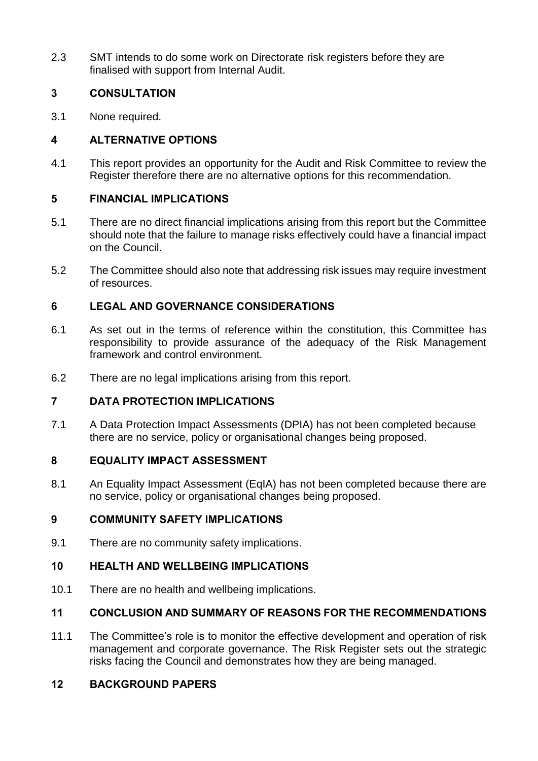2.3 SMT intends to do some work on Directorate risk registers before they are finalised with support from Internal Audit.

# **3 CONSULTATION**

3.1 None required.

# **4 ALTERNATIVE OPTIONS**

4.1 This report provides an opportunity for the Audit and Risk Committee to review the Register therefore there are no alternative options for this recommendation.

# **5 FINANCIAL IMPLICATIONS**

- 5.1 There are no direct financial implications arising from this report but the Committee should note that the failure to manage risks effectively could have a financial impact on the Council.
- 5.2 The Committee should also note that addressing risk issues may require investment of resources.

# **6 LEGAL AND GOVERNANCE CONSIDERATIONS**

- 6.1 As set out in the terms of reference within the constitution, this Committee has responsibility to provide assurance of the adequacy of the Risk Management framework and control environment.
- 6.2 There are no legal implications arising from this report.

## **7 DATA PROTECTION IMPLICATIONS**

7.1 A Data Protection Impact Assessments (DPIA) has not been completed because there are no service, policy or organisational changes being proposed.

## **8 EQUALITY IMPACT ASSESSMENT**

8.1 An Equality Impact Assessment (EqIA) has not been completed because there are no service, policy or organisational changes being proposed.

# **9 COMMUNITY SAFETY IMPLICATIONS**

9.1 There are no community safety implications.

## **10 HEALTH AND WELLBEING IMPLICATIONS**

10.1 There are no health and wellbeing implications.

# **11 CONCLUSION AND SUMMARY OF REASONS FOR THE RECOMMENDATIONS**

11.1 The Committee's role is to monitor the effective development and operation of risk management and corporate governance. The Risk Register sets out the strategic risks facing the Council and demonstrates how they are being managed.

## **12 BACKGROUND PAPERS**